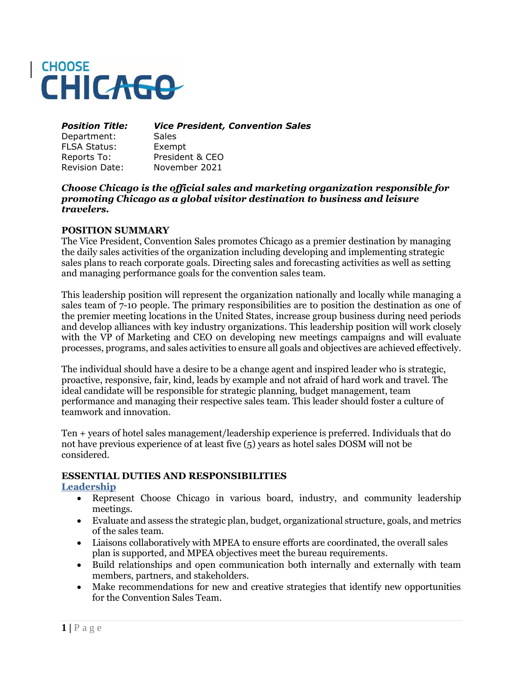# **CHOOSE CHICAGO**

*Position Title: Vice President, Convention Sales*

Department: Sales FLSA Status: Exempt

Reports To: President & CEO Revision Date: November 2021

#### *Choose Chicago is the official sales and marketing organization responsible for promoting Chicago as a global visitor destination to business and leisure travelers.*

### **POSITION SUMMARY**

The Vice President, Convention Sales promotes Chicago as a premier destination by managing the daily sales activities of the organization including developing and implementing strategic sales plans to reach corporate goals. Directing sales and forecasting activities as well as setting and managing performance goals for the convention sales team.

This leadership position will represent the organization nationally and locally while managing a sales team of 7-10 people. The primary responsibilities are to position the destination as one of the premier meeting locations in the United States, increase group business during need periods and develop alliances with key industry organizations. This leadership position will work closely with the VP of Marketing and CEO on developing new meetings campaigns and will evaluate processes, programs, and sales activities to ensure all goals and objectives are achieved effectively.

The individual should have a desire to be a change agent and inspired leader who is strategic, proactive, responsive, fair, kind, leads by example and not afraid of hard work and travel. The ideal candidate will be responsible for strategic planning, budget management, team performance and managing their respective sales team. This leader should foster a culture of teamwork and innovation.

Ten + years of hotel sales management/leadership experience is preferred. Individuals that do not have previous experience of at least five (5) years as hotel sales DOSM will not be considered.

### **ESSENTIAL DUTIES AND RESPONSIBILITIES**

**Leadership**

- Represent Choose Chicago in various board, industry, and community leadership meetings.
- Evaluate and assess the strategic plan, budget, organizational structure, goals, and metrics of the sales team.
- Liaisons collaboratively with MPEA to ensure efforts are coordinated, the overall sales plan is supported, and MPEA objectives meet the bureau requirements.
- Build relationships and open communication both internally and externally with team members, partners, and stakeholders.
- Make recommendations for new and creative strategies that identify new opportunities for the Convention Sales Team.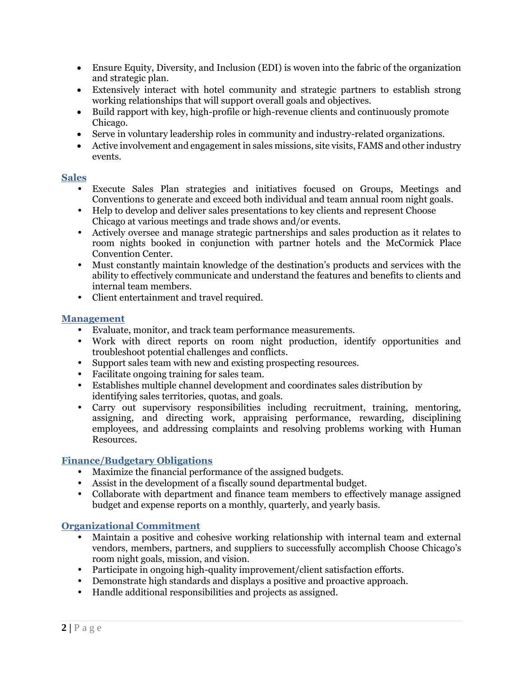- Ensure Equity, Diversity, and Inclusion (EDI) is woven into the fabric of the organization and strategic plan.
- Extensively interact with hotel community and strategic partners to establish strong working relationships that will support overall goals and objectives.
- Build rapport with key, high-profile or high-revenue clients and continuously promote Chicago.
- Serve in voluntary leadership roles in community and industry-related organizations.
- Active involvement and engagement in sales missions, site visits, FAMS and other industry events.

#### **Sales**

- Execute Sales Plan strategies and initiatives focused on Groups, Meetings and Conventions to generate and exceed both individual and team annual room night goals.
- Help to develop and deliver sales presentations to key clients and represent Choose Chicago at various meetings and trade shows and/or events.
- Actively oversee and manage strategic partnerships and sales production as it relates to room nights booked in conjunction with partner hotels and the McCormick Place Convention Center.
- Must constantly maintain knowledge of the destination's products and services with the ability to effectively communicate and understand the features and benefits to clients and internal team members.
- Client entertainment and travel required.

#### **Management**

- Evaluate, monitor, and track team performance measurements.
- Work with direct reports on room night production, identify opportunities and troubleshoot potential challenges and conflicts.
- Support sales team with new and existing prospecting resources.
- Facilitate ongoing training for sales team.
- Establishes multiple channel development and coordinates sales distribution by identifying sales territories, quotas, and goals.
- Carry out supervisory responsibilities including recruitment, training, mentoring, assigning, and directing work, appraising performance, rewarding, disciplining employees, and addressing complaints and resolving problems working with Human Resources.

### **Finance/Budgetary Obligations**

- Maximize the financial performance of the assigned budgets.
- Assist in the development of a fiscally sound departmental budget.
- Collaborate with department and finance team members to effectively manage assigned budget and expense reports on a monthly, quarterly, and yearly basis.

### **Organizational Commitment**

- Maintain a positive and cohesive working relationship with internal team and external vendors, members, partners, and suppliers to successfully accomplish Choose Chicago's room night goals, mission, and vision.
- Participate in ongoing high-quality improvement/client satisfaction efforts.
- Demonstrate high standards and displays a positive and proactive approach.
- Handle additional responsibilities and projects as assigned.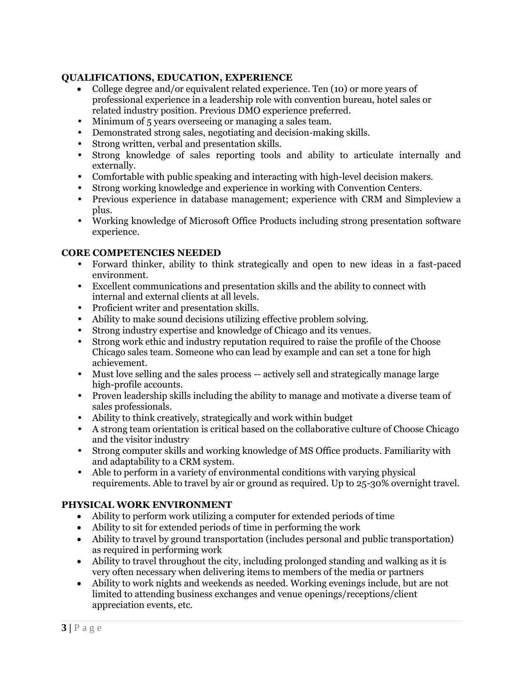## **QUALIFICATIONS, EDUCATION, EXPERIENCE**

- College degree and/or equivalent related experience. Ten (10) or more years of professional experience in a leadership role with convention bureau, hotel sales or related industry position. Previous DMO experience preferred.
- Minimum of 5 years overseeing or managing a sales team.
- Demonstrated strong sales, negotiating and decision-making skills.
- Strong written, verbal and presentation skills.
- Strong knowledge of sales reporting tools and ability to articulate internally and externally.
- Comfortable with public speaking and interacting with high-level decision makers.
- Strong working knowledge and experience in working with Convention Centers.
- Previous experience in database management; experience with CRM and Simpleview a plus.
- Working knowledge of Microsoft Office Products including strong presentation software experience.

### **CORE COMPETENCIES NEEDED**

- Forward thinker, ability to think strategically and open to new ideas in a fast-paced environment.
- Excellent communications and presentation skills and the ability to connect with internal and external clients at all levels.
- Proficient writer and presentation skills.
- Ability to make sound decisions utilizing effective problem solving.
- Strong industry expertise and knowledge of Chicago and its venues.
- Strong work ethic and industry reputation required to raise the profile of the Choose Chicago sales team. Someone who can lead by example and can set a tone for high achievement.
- Must love selling and the sales process -- actively sell and strategically manage large high-profile accounts.
- Proven leadership skills including the ability to manage and motivate a diverse team of sales professionals.
- Ability to think creatively, strategically and work within budget
- A strong team orientation is critical based on the collaborative culture of Choose Chicago and the visitor industry
- Strong computer skills and working knowledge of MS Office products. Familiarity with and adaptability to a CRM system.
- Able to perform in a variety of environmental conditions with varying physical requirements. Able to travel by air or ground as required. Up to 25-30% overnight travel.

# **PHYSICAL WORK ENVIRONMENT**

- Ability to perform work utilizing a computer for extended periods of time
- Ability to sit for extended periods of time in performing the work
- Ability to travel by ground transportation (includes personal and public transportation) as required in performing work
- Ability to travel throughout the city, including prolonged standing and walking as it is very often necessary when delivering items to members of the media or partners
- Ability to work nights and weekends as needed. Working evenings include, but are not limited to attending business exchanges and venue openings/receptions/client appreciation events, etc.